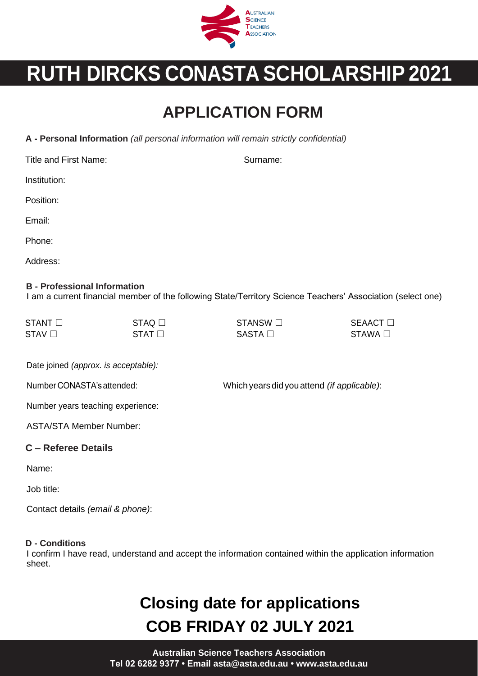

# **RUTH DIRCKS CONASTA SCHOLARSHIP 2021**

### **APPLICATION FORM**

**A - Personal Information** *(all personal information will remain strictly confidential)*

Title and First Name: Surname: Surname: Surname: Surname: Surname: Surname: Surname: Surname: Surname: Surname: Surname: Surname: Surname: Surname: Surname: Surname: Surname: Surname: Surname: Surname: Surname: Surname: Su

Institution:

Position:

Email:

Phone:

Address:

#### **B - Professional Information**

I am a current financial member of the following State/Territory Science Teachers' Association (select one)

| $STANT$ $\Box$ | $STAQ$ $\square$ | STANSW $\Box$ | <b>SEAACT</b> □ |
|----------------|------------------|---------------|-----------------|
| $STAV \Box$    | $STAT \Box$      | $SASTA \Box$  | STAWA □         |

Date joined *(approx. is acceptable):*

Number CONASTA'sattended: Which yearsdidyouattend *(if applicable)*:

Number years teaching experience:

ASTA/STA Member Number:

#### **C – Referee Details**

Name:

Job title:

Contact details *(email & phone)*:

#### **D - Conditions**

I confirm I have read, understand and accept the information contained within the application information sheet.

## **Closing date for applications COB FRIDAY 02 JULY 2021**